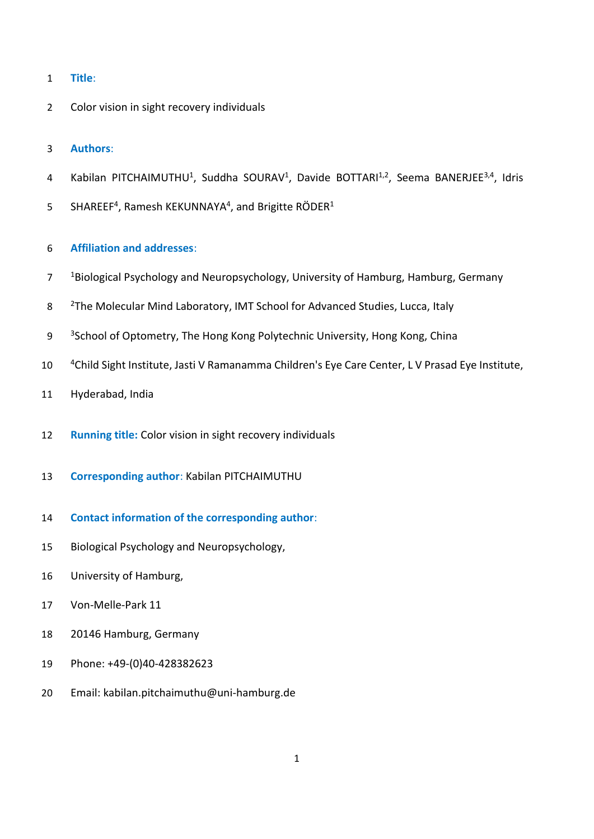- **Title**:
- Color vision in sight recovery individuals
- **Authors**:
- 4 Kabilan PITCHAIMUTHU<sup>1</sup>, Suddha SOURAV<sup>1</sup>, Davide BOTTARI<sup>1,2</sup>, Seema BANERJEE<sup>3,4</sup>, Idris
- 5 SHAREEF<sup>4</sup>, Ramesh KEKUNNAYA<sup>4</sup>, and Brigitte RÖDER<sup>1</sup>
- **Affiliation and addresses**:
- <sup>1</sup> Biological Psychology and Neuropsychology, University of Hamburg, Hamburg, Germany
- 8 <sup>2</sup>The Molecular Mind Laboratory, IMT School for Advanced Studies, Lucca, Italy
- 9 <sup>3</sup> 3 School of Optometry, The Hong Kong Polytechnic University, Hong Kong, China
- 10 <sup>4</sup> Child Sight Institute, Jasti V Ramanamma Children's Eye Care Center, L V Prasad Eye Institute,
- Hyderabad, India
- **Running title:** Color vision in sight recovery individuals
- **Corresponding author**: Kabilan PITCHAIMUTHU
- **Contact information of the corresponding author**:
- Biological Psychology and Neuropsychology,
- University of Hamburg,
- Von-Melle-Park 11
- 20146 Hamburg, Germany
- Phone: +49-(0)40-428382623
- Email: kabilan.pitchaimuthu@uni-hamburg.de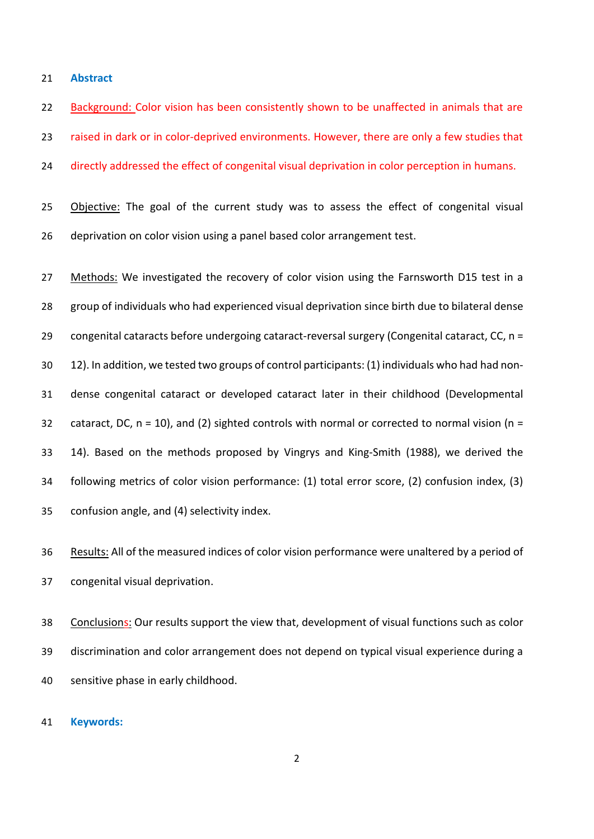**Abstract**

22 Background: Color vision has been consistently shown to be unaffected in animals that are raised in dark or in color-deprived environments. However, there are only a few studies that

24 directly addressed the effect of congenital visual deprivation in color perception in humans.

25 Objective: The goal of the current study was to assess the effect of congenital visual deprivation on color vision using a panel based color arrangement test.

27 Methods: We investigated the recovery of color vision using the Farnsworth D15 test in a group of individuals who had experienced visual deprivation since birth due to bilateral dense congenital cataracts before undergoing cataract-reversal surgery (Congenital cataract, CC, n = 12). In addition, we tested two groups of control participants: (1) individuals who had had non- dense congenital cataract or developed cataract later in their childhood (Developmental 32 cataract, DC,  $n = 10$ ), and (2) sighted controls with normal or corrected to normal vision ( $n =$  14). Based on the methods proposed by Vingrys and King-Smith (1988), we derived the following metrics of color vision performance: (1) total error score, (2) confusion index, (3) confusion angle, and (4) selectivity index.

 Results: All of the measured indices of color vision performance were unaltered by a period of congenital visual deprivation.

 Conclusions: Our results support the view that, development of visual functions such as color discrimination and color arrangement does not depend on typical visual experience during a sensitive phase in early childhood.

#### **Keywords:**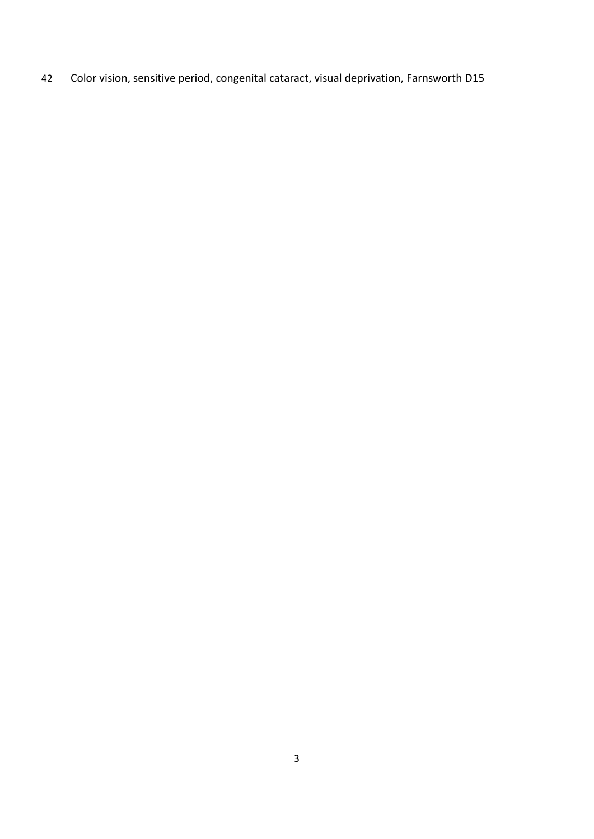Color vision, sensitive period, congenital cataract, visual deprivation, Farnsworth D15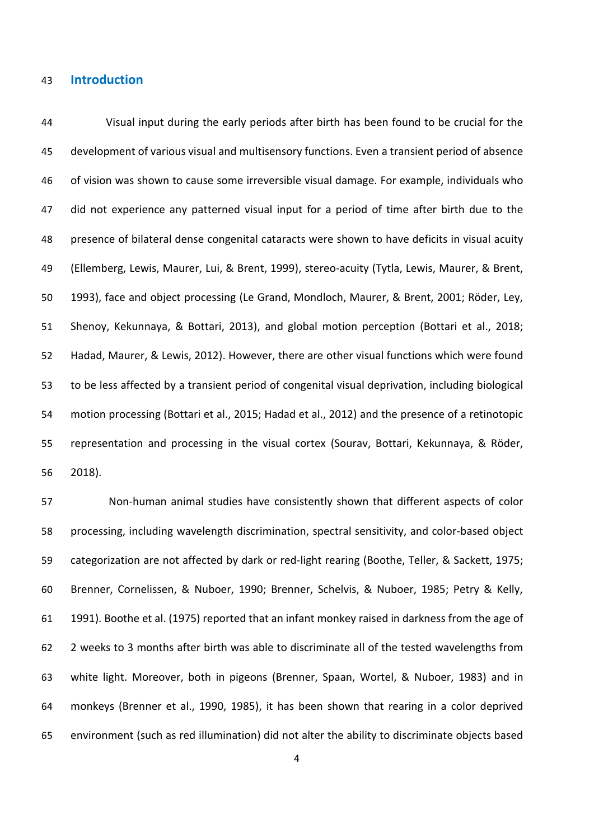### **Introduction**

 Visual input during the early periods after birth has been found to be crucial for the development of various visual and multisensory functions. Even a transient period of absence of vision was shown to cause some irreversible visual damage. For example, individuals who did not experience any patterned visual input for a period of time after birth due to the presence of bilateral dense congenital cataracts were shown to have deficits in visual acuity (Ellemberg, Lewis, Maurer, Lui, & Brent, 1999), stereo-acuity (Tytla, Lewis, Maurer, & Brent, 1993), face and object processing (Le Grand, Mondloch, Maurer, & Brent, 2001; Röder, Ley, Shenoy, Kekunnaya, & Bottari, 2013), and global motion perception (Bottari et al., 2018; Hadad, Maurer, & Lewis, 2012). However, there are other visual functions which were found to be less affected by a transient period of congenital visual deprivation, including biological motion processing (Bottari et al., 2015; Hadad et al., 2012) and the presence of a retinotopic representation and processing in the visual cortex (Sourav, Bottari, Kekunnaya, & Röder, 2018).

 Non-human animal studies have consistently shown that different aspects of color processing, including wavelength discrimination, spectral sensitivity, and color-based object categorization are not affected by dark or red-light rearing (Boothe, Teller, & Sackett, 1975; Brenner, Cornelissen, & Nuboer, 1990; Brenner, Schelvis, & Nuboer, 1985; Petry & Kelly, 1991). Boothe et al. (1975) reported that an infant monkey raised in darkness from the age of 2 weeks to 3 months after birth was able to discriminate all of the tested wavelengths from white light. Moreover, both in pigeons (Brenner, Spaan, Wortel, & Nuboer, 1983) and in monkeys (Brenner et al., 1990, 1985), it has been shown that rearing in a color deprived environment (such as red illumination) did not alter the ability to discriminate objects based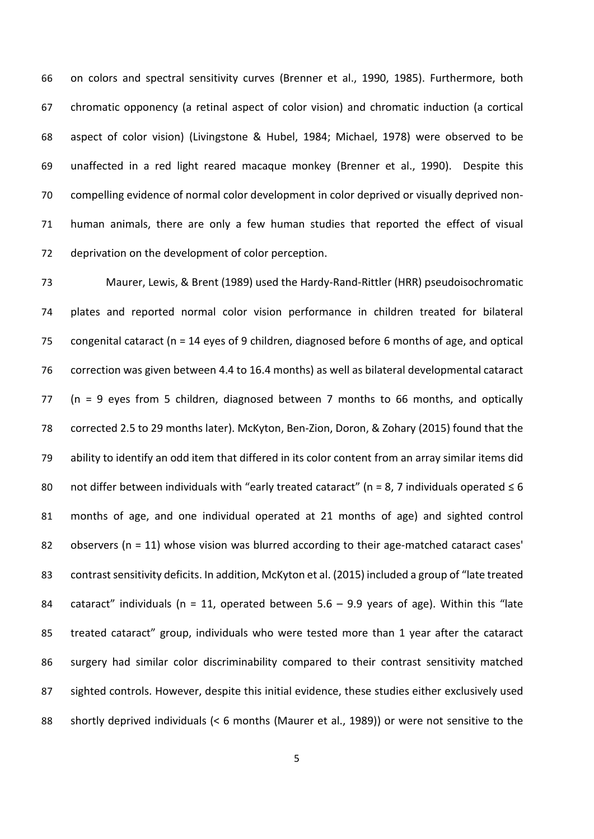on colors and spectral sensitivity curves (Brenner et al., 1990, 1985). Furthermore, both chromatic opponency (a retinal aspect of color vision) and chromatic induction (a cortical aspect of color vision) (Livingstone & Hubel, 1984; Michael, 1978) were observed to be unaffected in a red light reared macaque monkey (Brenner et al., 1990). Despite this compelling evidence of normal color development in color deprived or visually deprived non- human animals, there are only a few human studies that reported the effect of visual deprivation on the development of color perception.

 Maurer, Lewis, & Brent (1989) used the Hardy-Rand-Rittler (HRR) pseudoisochromatic plates and reported normal color vision performance in children treated for bilateral congenital cataract (n = 14 eyes of 9 children, diagnosed before 6 months of age, and optical correction was given between 4.4 to 16.4 months) as well as bilateral developmental cataract (n = 9 eyes from 5 children, diagnosed between 7 months to 66 months, and optically corrected 2.5 to 29 months later). McKyton, Ben-Zion, Doron, & Zohary (2015) found that the ability to identify an odd item that differed in its color content from an array similar items did 80 not differ between individuals with "early treated cataract" (n = 8, 7 individuals operated  $\leq 6$  months of age, and one individual operated at 21 months of age) and sighted control 82 observers ( $n = 11$ ) whose vision was blurred according to their age-matched cataract cases' contrast sensitivity deficits. In addition, McKyton et al. (2015) included a group of "late treated 84 cataract" individuals ( $n = 11$ , operated between 5.6 – 9.9 years of age). Within this "late treated cataract" group, individuals who were tested more than 1 year after the cataract surgery had similar color discriminability compared to their contrast sensitivity matched sighted controls. However, despite this initial evidence, these studies either exclusively used shortly deprived individuals (< 6 months (Maurer et al., 1989)) or were not sensitive to the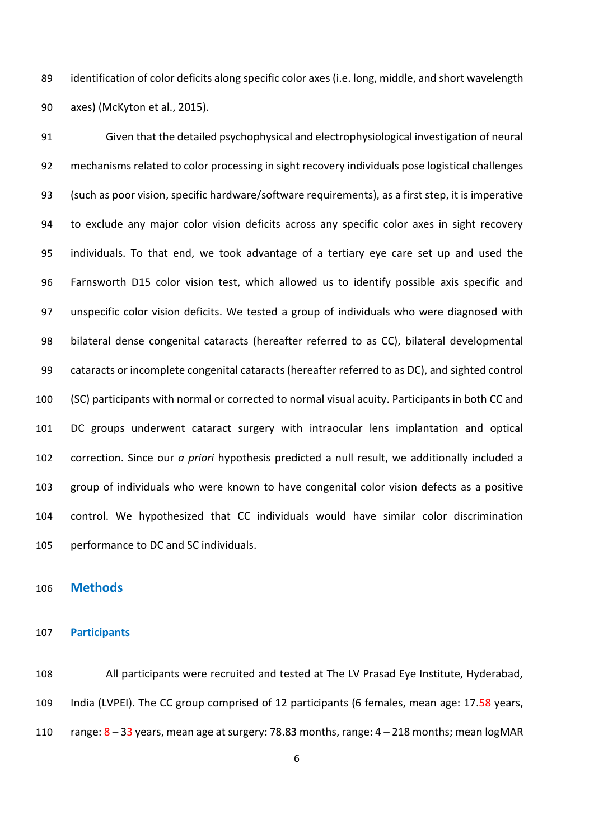identification of color deficits along specific color axes (i.e. long, middle, and short wavelength axes) (McKyton et al., 2015).

 Given that the detailed psychophysical and electrophysiological investigation of neural mechanisms related to color processing in sight recovery individuals pose logistical challenges (such as poor vision, specific hardware/software requirements), as a first step, it is imperative to exclude any major color vision deficits across any specific color axes in sight recovery individuals. To that end, we took advantage of a tertiary eye care set up and used the Farnsworth D15 color vision test, which allowed us to identify possible axis specific and unspecific color vision deficits. We tested a group of individuals who were diagnosed with bilateral dense congenital cataracts (hereafter referred to as CC), bilateral developmental cataracts or incomplete congenital cataracts(hereafter referred to as DC), and sighted control (SC) participants with normal or corrected to normal visual acuity. Participants in both CC and DC groups underwent cataract surgery with intraocular lens implantation and optical correction. Since our *a priori* hypothesis predicted a null result, we additionally included a group of individuals who were known to have congenital color vision defects as a positive control. We hypothesized that CC individuals would have similar color discrimination performance to DC and SC individuals.

### **Methods**

### **Participants**

 All participants were recruited and tested at The LV Prasad Eye Institute, Hyderabad, 109 India (LVPEI). The CC group comprised of 12 participants (6 females, mean age: 17.58 years, 110 range:  $8 - 33$  years, mean age at surgery: 78.83 months, range:  $4 - 218$  months; mean logMAR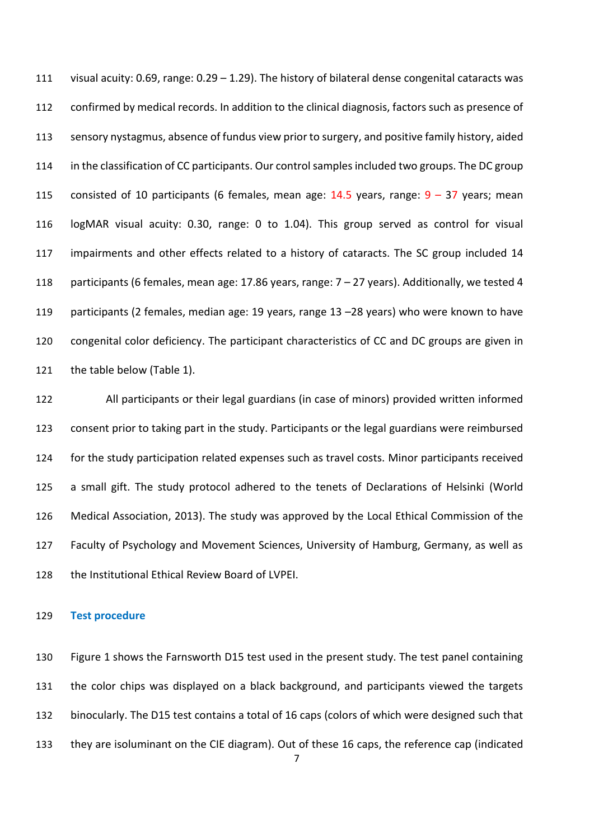visual acuity: 0.69, range: 0.29 – 1.29). The history of bilateral dense congenital cataracts was confirmed by medical records. In addition to the clinical diagnosis, factors such as presence of sensory nystagmus, absence of fundus view prior to surgery, and positive family history, aided in the classification of CC participants. Our control samples included two groups. The DC group 115 consisted of 10 participants (6 females, mean age:  $14.5$  years, range:  $9 - 37$  years; mean logMAR visual acuity: 0.30, range: 0 to 1.04). This group served as control for visual 117 impairments and other effects related to a history of cataracts. The SC group included 14 participants (6 females, mean age: 17.86 years, range: 7 – 27 years). Additionally, we tested 4 participants (2 females, median age: 19 years, range 13 –28 years) who were known to have congenital color deficiency. The participant characteristics of CC and DC groups are given in the table below (Table 1).

 All participants or their legal guardians (in case of minors) provided written informed consent prior to taking part in the study. Participants or the legal guardians were reimbursed for the study participation related expenses such as travel costs. Minor participants received a small gift. The study protocol adhered to the tenets of Declarations of Helsinki (World Medical Association, 2013). The study was approved by the Local Ethical Commission of the Faculty of Psychology and Movement Sciences, University of Hamburg, Germany, as well as the Institutional Ethical Review Board of LVPEI.

### **Test procedure**

 Figure 1 shows the Farnsworth D15 test used in the present study. The test panel containing the color chips was displayed on a black background, and participants viewed the targets binocularly. The D15 test contains a total of 16 caps (colors of which were designed such that they are isoluminant on the CIE diagram). Out of these 16 caps, the reference cap (indicated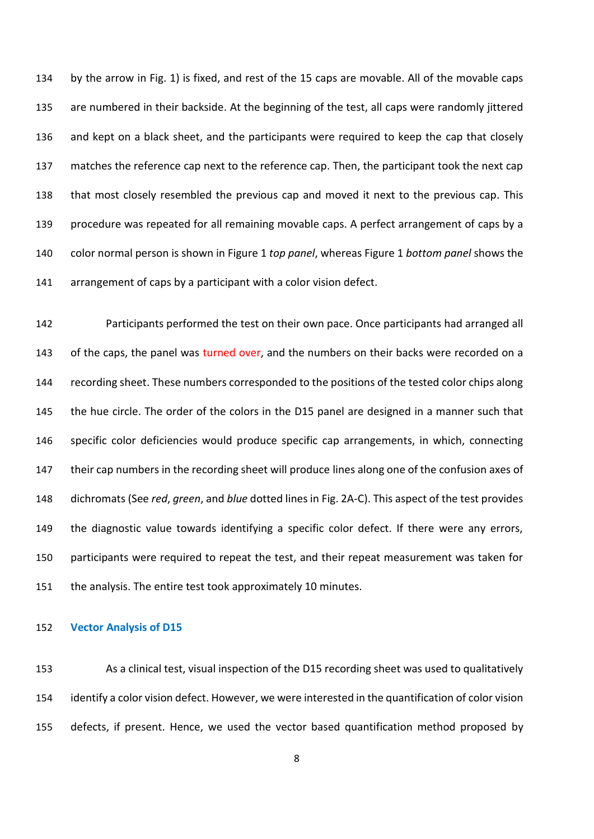by the arrow in Fig. 1) is fixed, and rest of the 15 caps are movable. All of the movable caps are numbered in their backside. At the beginning of the test, all caps were randomly jittered and kept on a black sheet, and the participants were required to keep the cap that closely matches the reference cap next to the reference cap. Then, the participant took the next cap that most closely resembled the previous cap and moved it next to the previous cap. This procedure was repeated for all remaining movable caps. A perfect arrangement of caps by a color normal person is shown in Figure 1 *top panel*, whereas Figure 1 *bottom panel* shows the arrangement of caps by a participant with a color vision defect.

 Participants performed the test on their own pace. Once participants had arranged all 143 of the caps, the panel was turned over, and the numbers on their backs were recorded on a 144 recording sheet. These numbers corresponded to the positions of the tested color chips along the hue circle. The order of the colors in the D15 panel are designed in a manner such that specific color deficiencies would produce specific cap arrangements, in which, connecting their cap numbers in the recording sheet will produce lines along one of the confusion axes of dichromats (See *red*, *green*, and *blue* dotted lines in Fig. 2A-C). This aspect of the test provides the diagnostic value towards identifying a specific color defect. If there were any errors, participants were required to repeat the test, and their repeat measurement was taken for the analysis. The entire test took approximately 10 minutes.

### **Vector Analysis of D15**

 As a clinical test, visual inspection of the D15 recording sheet was used to qualitatively identify a color vision defect. However, we were interested in the quantification of color vision defects, if present. Hence, we used the vector based quantification method proposed by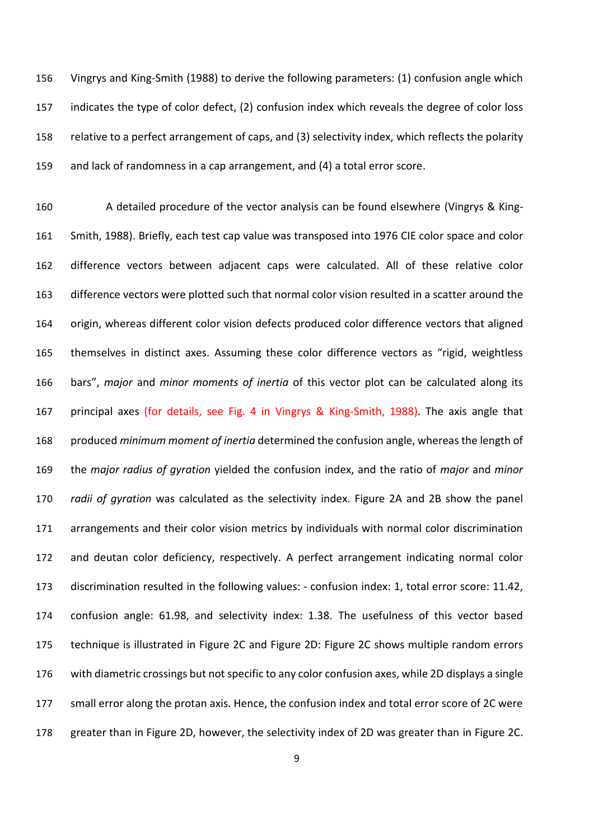Vingrys and King-Smith (1988) to derive the following parameters: (1) confusion angle which indicates the type of color defect, (2) confusion index which reveals the degree of color loss relative to a perfect arrangement of caps, and (3) selectivity index, which reflects the polarity and lack of randomness in a cap arrangement, and (4) a total error score.

 A detailed procedure of the vector analysis can be found elsewhere (Vingrys & King- Smith, 1988). Briefly, each test cap value was transposed into 1976 CIE color space and color difference vectors between adjacent caps were calculated. All of these relative color difference vectors were plotted such that normal color vision resulted in a scatter around the origin, whereas different color vision defects produced color difference vectors that aligned themselves in distinct axes. Assuming these color difference vectors as "rigid, weightless bars", *major* and *minor moments of inertia* of this vector plot can be calculated along its principal axes (for details, see Fig. 4 in Vingrys & King-Smith, 1988). The axis angle that produced *minimum moment of inertia* determined the confusion angle, whereas the length of the *major radius of gyration* yielded the confusion index, and the ratio of *major* and *minor radii of gyration* was calculated as the selectivity index. Figure 2A and 2B show the panel arrangements and their color vision metrics by individuals with normal color discrimination and deutan color deficiency, respectively. A perfect arrangement indicating normal color discrimination resulted in the following values: - confusion index: 1, total error score: 11.42, confusion angle: 61.98, and selectivity index: 1.38. The usefulness of this vector based technique is illustrated in Figure 2C and Figure 2D: Figure 2C shows multiple random errors with diametric crossings but not specific to any color confusion axes, while 2D displays a single small error along the protan axis. Hence, the confusion index and total error score of 2C were greater than in Figure 2D, however, the selectivity index of 2D was greater than in Figure 2C.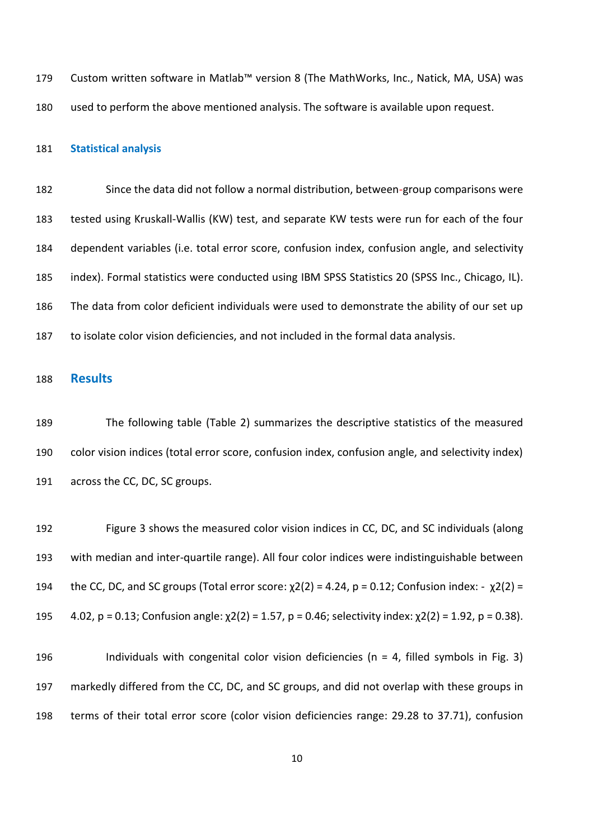Custom written software in Matlab™ version 8 (The MathWorks, Inc., Natick, MA, USA) was used to perform the above mentioned analysis. The software is available upon request.

#### **Statistical analysis**

 Since the data did not follow a normal distribution, between-group comparisons were tested using Kruskall-Wallis (KW) test, and separate KW tests were run for each of the four dependent variables (i.e. total error score, confusion index, confusion angle, and selectivity index). Formal statistics were conducted using IBM SPSS Statistics 20 (SPSS Inc., Chicago, IL). The data from color deficient individuals were used to demonstrate the ability of our set up to isolate color vision deficiencies, and not included in the formal data analysis.

### **Results**

 The following table (Table 2) summarizes the descriptive statistics of the measured color vision indices (total error score, confusion index, confusion angle, and selectivity index) across the CC, DC, SC groups.

 Figure 3 shows the measured color vision indices in CC, DC, and SC individuals (along with median and inter-quartile range). All four color indices were indistinguishable between 194 the CC, DC, and SC groups (Total error score:  $\chi$ 2(2) = 4.24, p = 0.12; Confusion index: -  $\chi$ 2(2) =  $4.02$ , p = 0.13; Confusion angle:  $\chi$ 2(2) = 1.57, p = 0.46; selectivity index:  $\chi$ 2(2) = 1.92, p = 0.38).

196 Individuals with congenital color vision deficiencies ( $n = 4$ , filled symbols in Fig. 3) markedly differed from the CC, DC, and SC groups, and did not overlap with these groups in terms of their total error score (color vision deficiencies range: 29.28 to 37.71), confusion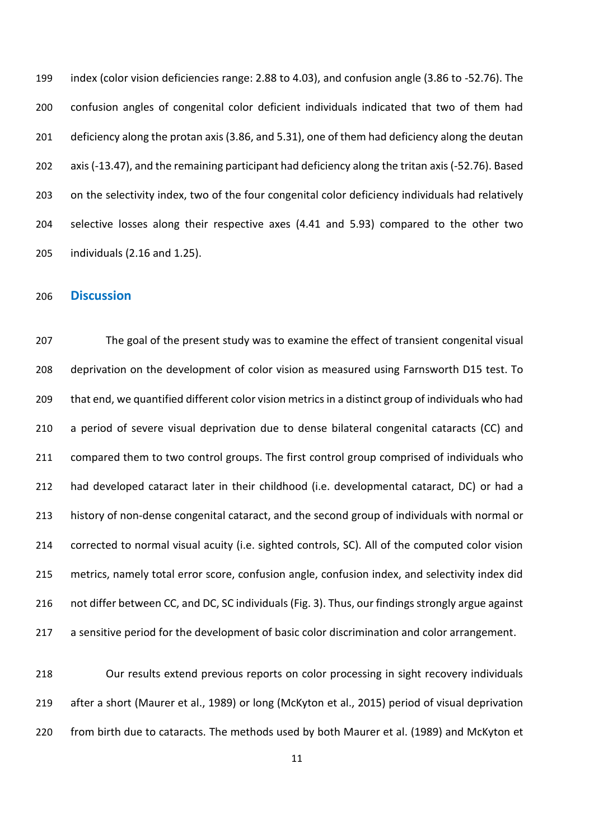index (color vision deficiencies range: 2.88 to 4.03), and confusion angle (3.86 to -52.76). The confusion angles of congenital color deficient individuals indicated that two of them had deficiency along the protan axis (3.86, and 5.31), one of them had deficiency along the deutan axis (-13.47), and the remaining participant had deficiency along the tritan axis (-52.76). Based on the selectivity index, two of the four congenital color deficiency individuals had relatively selective losses along their respective axes (4.41 and 5.93) compared to the other two individuals (2.16 and 1.25).

# **Discussion**

 The goal of the present study was to examine the effect of transient congenital visual deprivation on the development of color vision as measured using Farnsworth D15 test. To that end, we quantified different color vision metrics in a distinct group of individuals who had 210 a period of severe visual deprivation due to dense bilateral congenital cataracts (CC) and 211 compared them to two control groups. The first control group comprised of individuals who had developed cataract later in their childhood (i.e. developmental cataract, DC) or had a history of non-dense congenital cataract, and the second group of individuals with normal or corrected to normal visual acuity (i.e. sighted controls, SC). All of the computed color vision metrics, namely total error score, confusion angle, confusion index, and selectivity index did not differ between CC, and DC, SC individuals (Fig. 3). Thus, our findings strongly argue against a sensitive period for the development of basic color discrimination and color arrangement.

 Our results extend previous reports on color processing in sight recovery individuals after a short (Maurer et al., 1989) or long (McKyton et al., 2015) period of visual deprivation from birth due to cataracts. The methods used by both Maurer et al. (1989) and McKyton et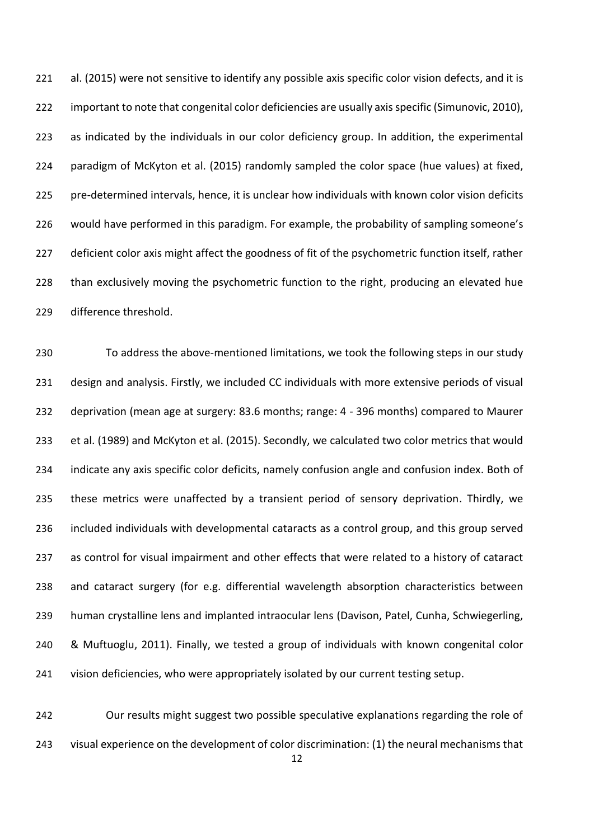al. (2015) were not sensitive to identify any possible axis specific color vision defects, and it is important to note that congenital color deficiencies are usually axis specific (Simunovic, 2010), as indicated by the individuals in our color deficiency group. In addition, the experimental paradigm of McKyton et al. (2015) randomly sampled the color space (hue values) at fixed, pre-determined intervals, hence, it is unclear how individuals with known color vision deficits would have performed in this paradigm. For example, the probability of sampling someone's 227 deficient color axis might affect the goodness of fit of the psychometric function itself, rather 228 than exclusively moving the psychometric function to the right, producing an elevated hue difference threshold.

 To address the above-mentioned limitations, we took the following steps in our study design and analysis. Firstly, we included CC individuals with more extensive periods of visual deprivation (mean age at surgery: 83.6 months; range: 4 - 396 months) compared to Maurer et al. (1989) and McKyton et al. (2015). Secondly, we calculated two color metrics that would indicate any axis specific color deficits, namely confusion angle and confusion index. Both of these metrics were unaffected by a transient period of sensory deprivation. Thirdly, we included individuals with developmental cataracts as a control group, and this group served 237 as control for visual impairment and other effects that were related to a history of cataract and cataract surgery (for e.g. differential wavelength absorption characteristics between human crystalline lens and implanted intraocular lens (Davison, Patel, Cunha, Schwiegerling, & Muftuoglu, 2011). Finally, we tested a group of individuals with known congenital color vision deficiencies, who were appropriately isolated by our current testing setup.

 Our results might suggest two possible speculative explanations regarding the role of visual experience on the development of color discrimination: (1) the neural mechanisms that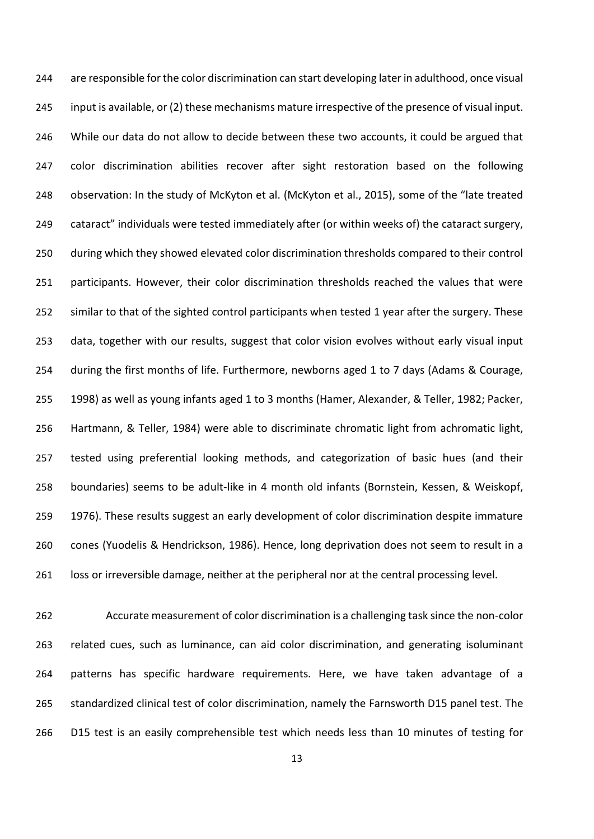are responsible for the color discrimination can start developing later in adulthood, once visual input is available, or (2) these mechanisms mature irrespective of the presence of visual input. While our data do not allow to decide between these two accounts, it could be argued that color discrimination abilities recover after sight restoration based on the following observation: In the study of McKyton et al. (McKyton et al., 2015), some of the "late treated cataract" individuals were tested immediately after (or within weeks of) the cataract surgery, during which they showed elevated color discrimination thresholds compared to their control participants. However, their color discrimination thresholds reached the values that were similar to that of the sighted control participants when tested 1 year after the surgery. These data, together with our results, suggest that color vision evolves without early visual input during the first months of life. Furthermore, newborns aged 1 to 7 days (Adams & Courage, 1998) as well as young infants aged 1 to 3 months (Hamer, Alexander, & Teller, 1982; Packer, Hartmann, & Teller, 1984) were able to discriminate chromatic light from achromatic light, tested using preferential looking methods, and categorization of basic hues (and their boundaries) seems to be adult-like in 4 month old infants (Bornstein, Kessen, & Weiskopf, 1976). These results suggest an early development of color discrimination despite immature cones (Yuodelis & Hendrickson, 1986). Hence, long deprivation does not seem to result in a loss or irreversible damage, neither at the peripheral nor at the central processing level.

 Accurate measurement of color discrimination is a challenging task since the non-color related cues, such as luminance, can aid color discrimination, and generating isoluminant patterns has specific hardware requirements. Here, we have taken advantage of a standardized clinical test of color discrimination, namely the Farnsworth D15 panel test. The D15 test is an easily comprehensible test which needs less than 10 minutes of testing for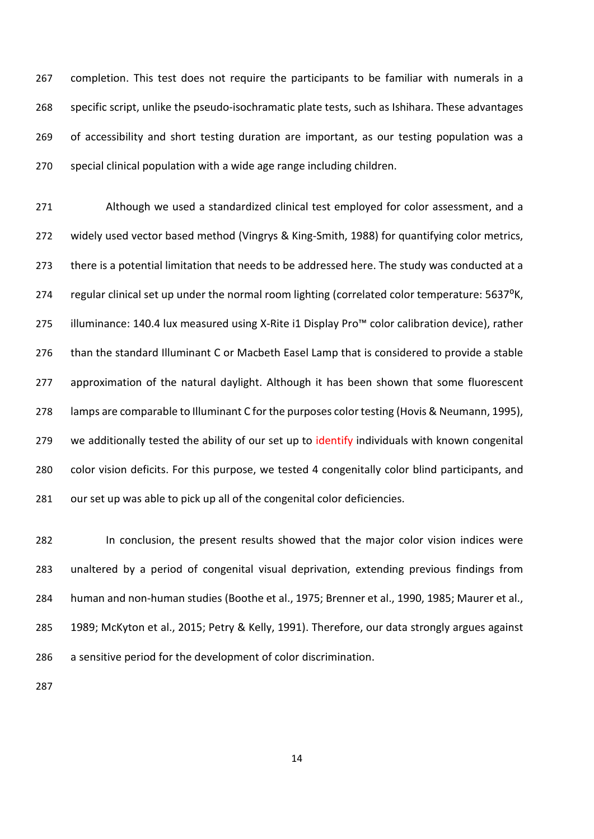completion. This test does not require the participants to be familiar with numerals in a specific script, unlike the pseudo-isochramatic plate tests, such as Ishihara. These advantages of accessibility and short testing duration are important, as our testing population was a special clinical population with a wide age range including children.

 Although we used a standardized clinical test employed for color assessment, and a widely used vector based method (Vingrys & King-Smith, 1988) for quantifying color metrics, there is a potential limitation that needs to be addressed here. The study was conducted at a 274 regular clinical set up under the normal room lighting (correlated color temperature: 5637<sup>o</sup>K, illuminance: 140.4 lux measured using X-Rite i1 Display Pro™ color calibration device), rather than the standard Illuminant C or Macbeth Easel Lamp that is considered to provide a stable approximation of the natural daylight. Although it has been shown that some fluorescent lamps are comparable to Illuminant C for the purposes color testing (Hovis & Neumann, 1995), 279 we additionally tested the ability of our set up to identify individuals with known congenital color vision deficits. For this purpose, we tested 4 congenitally color blind participants, and our set up was able to pick up all of the congenital color deficiencies.

 In conclusion, the present results showed that the major color vision indices were unaltered by a period of congenital visual deprivation, extending previous findings from human and non-human studies (Boothe et al., 1975; Brenner et al., 1990, 1985; Maurer et al., 1989; McKyton et al., 2015; Petry & Kelly, 1991). Therefore, our data strongly argues against a sensitive period for the development of color discrimination.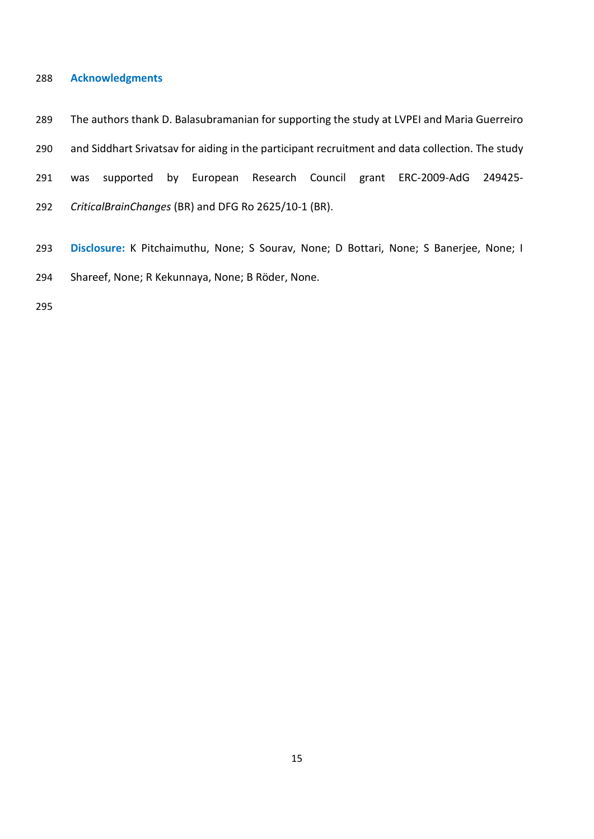#### **Acknowledgments**

- The authors thank D. Balasubramanian for supporting the study at LVPEI and Maria Guerreiro
- and Siddhart Srivatsav for aiding in the participant recruitment and data collection. The study
- was supported by European Research Council grant ERC-2009-AdG 249425-
- *CriticalBrainChanges* (BR) and DFG Ro 2625/10-1 (BR).
- **Disclosure:** K Pitchaimuthu, None; S Sourav, None; D Bottari, None; S Banerjee, None; I Shareef, None; R Kekunnaya, None; B Röder, None.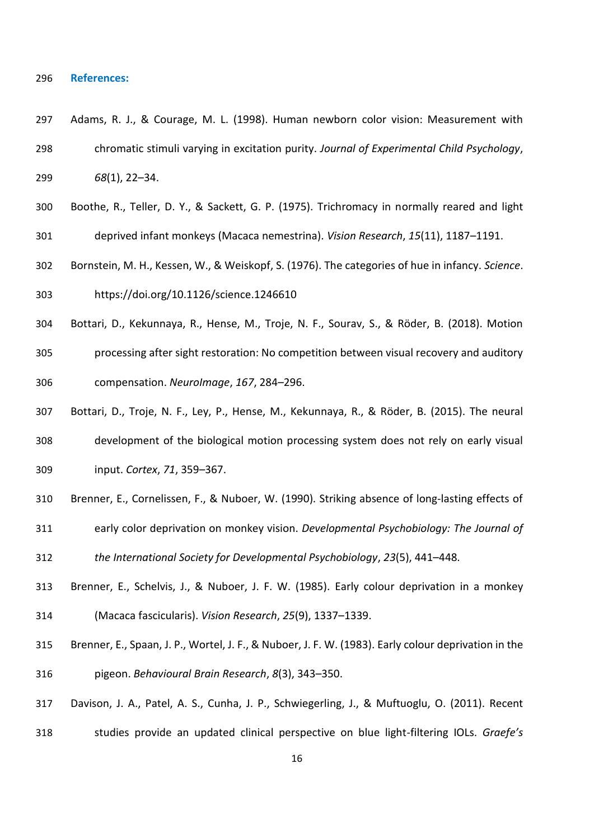#### **References:**

- Adams, R. J., & Courage, M. L. (1998). Human newborn color vision: Measurement with chromatic stimuli varying in excitation purity. *Journal of Experimental Child Psychology*, *68*(1), 22–34.
- Boothe, R., Teller, D. Y., & Sackett, G. P. (1975). Trichromacy in normally reared and light deprived infant monkeys (Macaca nemestrina). *Vision Research*, *15*(11), 1187–1191.
- Bornstein, M. H., Kessen, W., & Weiskopf, S. (1976). The categories of hue in infancy. *Science*. https://doi.org/10.1126/science.1246610
- Bottari, D., Kekunnaya, R., Hense, M., Troje, N. F., Sourav, S., & Röder, B. (2018). Motion
- processing after sight restoration: No competition between visual recovery and auditory compensation. *NeuroImage*, *167*, 284–296.
- Bottari, D., Troje, N. F., Ley, P., Hense, M., Kekunnaya, R., & Röder, B. (2015). The neural development of the biological motion processing system does not rely on early visual input. *Cortex*, *71*, 359–367.
- Brenner, E., Cornelissen, F., & Nuboer, W. (1990). Striking absence of long‐lasting effects of
- early color deprivation on monkey vision. *Developmental Psychobiology: The Journal of*

*the International Society for Developmental Psychobiology*, *23*(5), 441–448.

- Brenner, E., Schelvis, J., & Nuboer, J. F. W. (1985). Early colour deprivation in a monkey (Macaca fascicularis). *Vision Research*, *25*(9), 1337–1339.
- Brenner, E., Spaan, J. P., Wortel, J. F., & Nuboer, J. F. W. (1983). Early colour deprivation in the pigeon. *Behavioural Brain Research*, *8*(3), 343–350.
- Davison, J. A., Patel, A. S., Cunha, J. P., Schwiegerling, J., & Muftuoglu, O. (2011). Recent
- studies provide an updated clinical perspective on blue light-filtering IOLs. *Graefe's*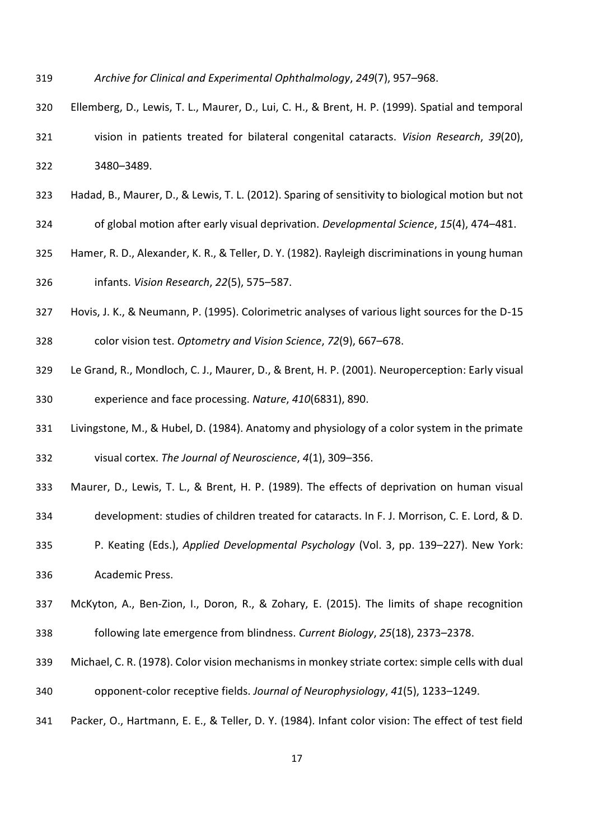- *Archive for Clinical and Experimental Ophthalmology*, *249*(7), 957–968.
- Ellemberg, D., Lewis, T. L., Maurer, D., Lui, C. H., & Brent, H. P. (1999). Spatial and temporal vision in patients treated for bilateral congenital cataracts. *Vision Research*, *39*(20), 3480–3489.
- Hadad, B., Maurer, D., & Lewis, T. L. (2012). Sparing of sensitivity to biological motion but not
- of global motion after early visual deprivation. *Developmental Science*, *15*(4), 474–481.
- Hamer, R. D., Alexander, K. R., & Teller, D. Y. (1982). Rayleigh discriminations in young human infants. *Vision Research*, *22*(5), 575–587.
- Hovis, J. K., & Neumann, P. (1995). Colorimetric analyses of various light sources for the D-15
- color vision test. *Optometry and Vision Science*, *72*(9), 667–678.
- Le Grand, R., Mondloch, C. J., Maurer, D., & Brent, H. P. (2001). Neuroperception: Early visual experience and face processing. *Nature*, *410*(6831), 890.
- Livingstone, M., & Hubel, D. (1984). Anatomy and physiology of a color system in the primate visual cortex. *The Journal of Neuroscience*, *4*(1), 309–356.
- Maurer, D., Lewis, T. L., & Brent, H. P. (1989). The effects of deprivation on human visual
- development: studies of children treated for cataracts. In F. J. Morrison, C. E. Lord, & D.
- P. Keating (Eds.), *Applied Developmental Psychology* (Vol. 3, pp. 139–227). New York: Academic Press.
- McKyton, A., Ben-Zion, I., Doron, R., & Zohary, E. (2015). The limits of shape recognition
- following late emergence from blindness. *Current Biology*, *25*(18), 2373–2378.
- Michael, C. R. (1978). Color vision mechanisms in monkey striate cortex: simple cells with dual opponent-color receptive fields. *Journal of Neurophysiology*, *41*(5), 1233–1249.
- Packer, O., Hartmann, E. E., & Teller, D. Y. (1984). Infant color vision: The effect of test field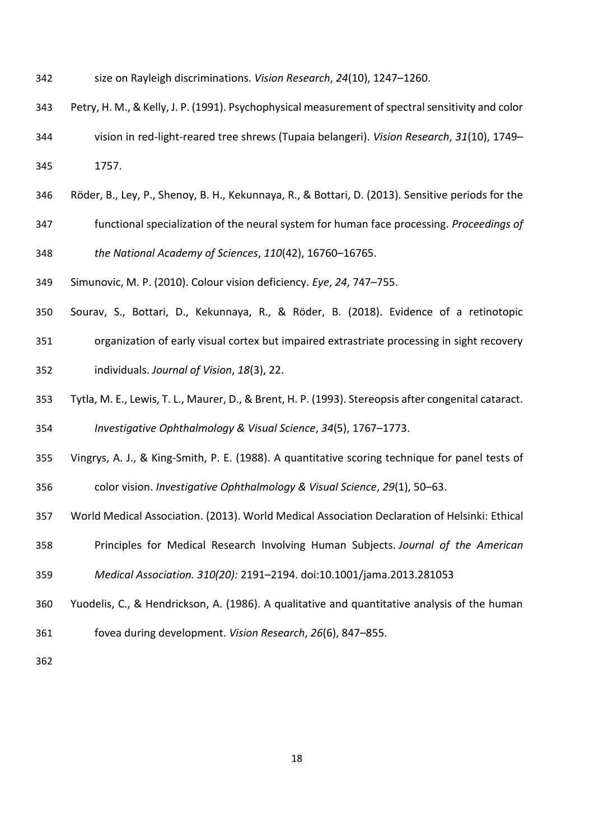- size on Rayleigh discriminations. *Vision Research*, *24*(10), 1247–1260.
- Petry, H. M., & Kelly, J. P. (1991). Psychophysical measurement of spectral sensitivity and color
- vision in red-light-reared tree shrews (Tupaia belangeri). *Vision Research*, *31*(10), 1749– 1757.
- Röder, B., Ley, P., Shenoy, B. H., Kekunnaya, R., & Bottari, D. (2013). Sensitive periods for the
- functional specialization of the neural system for human face processing. *Proceedings of the National Academy of Sciences*, *110*(42), 16760–16765.
- Simunovic, M. P. (2010). Colour vision deficiency. *Eye*, *24*, 747–755.
- Sourav, S., Bottari, D., Kekunnaya, R., & Röder, B. (2018). Evidence of a retinotopic
- organization of early visual cortex but impaired extrastriate processing in sight recovery individuals. *Journal of Vision*, *18*(3), 22.
- Tytla, M. E., Lewis, T. L., Maurer, D., & Brent, H. P. (1993). Stereopsis after congenital cataract. *Investigative Ophthalmology & Visual Science*, *34*(5), 1767–1773.
- Vingrys, A. J., & King-Smith, P. E. (1988). A quantitative scoring technique for panel tests of color vision. *Investigative Ophthalmology & Visual Science*, *29*(1), 50–63.
- World Medical Association. (2013). World Medical Association Declaration of Helsinki: Ethical
- Principles for Medical Research Involving Human Subjects. *Journal of the American*
- *Medical Association. 310(20):* 2191–2194. doi:10.1001/jama.2013.281053
- Yuodelis, C., & Hendrickson, A. (1986). A qualitative and quantitative analysis of the human
- fovea during development. *Vision Research*, *26*(6), 847–855.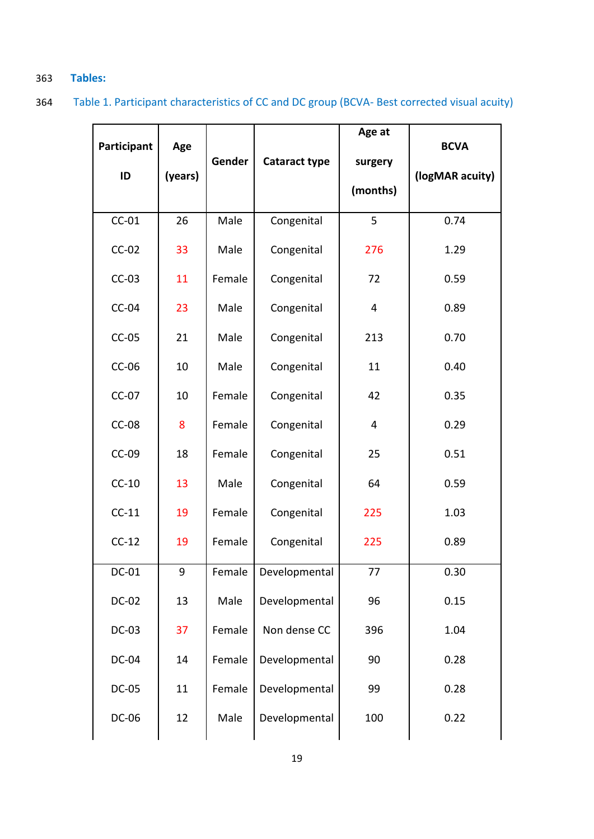# 363 **Tables:**

364 Table 1. Participant characteristics of CC and DC group (BCVA- Best corrected visual acuity)

| Participant<br>ID | Age<br>(years) | Gender | Cataract type | Age at<br>surgery<br>(months) | <b>BCVA</b><br>(logMAR acuity) |
|-------------------|----------------|--------|---------------|-------------------------------|--------------------------------|
| $CC-01$           | 26             | Male   | Congenital    | 5                             | 0.74                           |
| $CC-02$           | 33             | Male   | Congenital    | 276                           | 1.29                           |
| $CC-03$           | 11             | Female | Congenital    | 72                            | 0.59                           |
| $CC-04$           | 23             | Male   | Congenital    | $\overline{\mathbf{4}}$       | 0.89                           |
| $CC-05$           | 21             | Male   | Congenital    | 213                           | 0.70                           |
| $CC-06$           | 10             | Male   | Congenital    | 11                            | 0.40                           |
| $CC-07$           | 10             | Female | Congenital    | 42                            | 0.35                           |
| $CC-08$           | 8              | Female | Congenital    | 4                             | 0.29                           |
| $CC-09$           | 18             | Female | Congenital    | 25                            | 0.51                           |
| $CC-10$           | 13             | Male   | Congenital    | 64                            | 0.59                           |
| $CC-11$           | 19             | Female | Congenital    | 225                           | 1.03                           |
| $CC-12$           | 19             | Female | Congenital    | 225                           | 0.89                           |
| DC-01             | 9              | Female | Developmental | 77                            | 0.30                           |
| <b>DC-02</b>      | 13             | Male   | Developmental | 96                            | 0.15                           |
| <b>DC-03</b>      | 37             | Female | Non dense CC  | 396                           | 1.04                           |
| DC-04             | 14             | Female | Developmental | 90                            | 0.28                           |
| <b>DC-05</b>      | 11             | Female | Developmental | 99                            | 0.28                           |
| DC-06             | 12             | Male   | Developmental | 100                           | 0.22                           |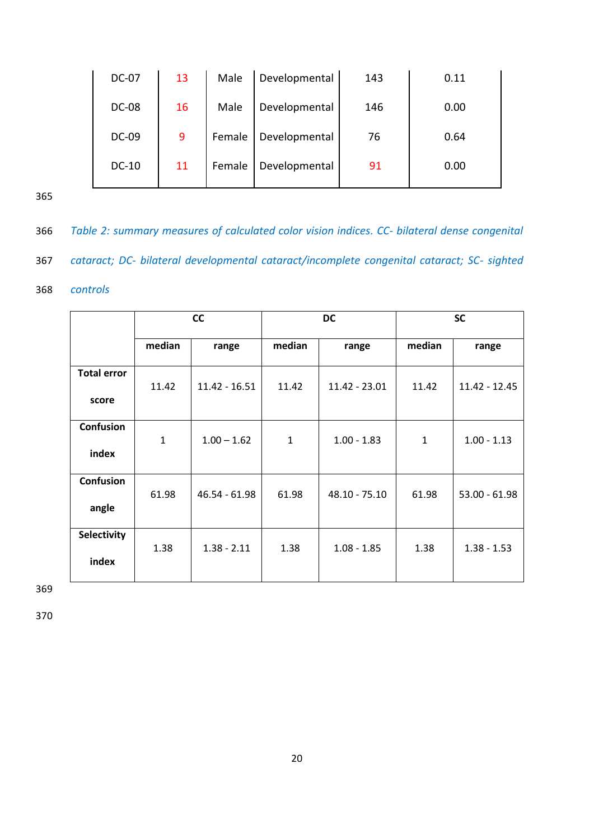| DC-07        | 13 | Male   | Developmental | 143 | 0.11 |
|--------------|----|--------|---------------|-----|------|
| <b>DC-08</b> | 16 | Male   | Developmental | 146 | 0.00 |
| DC-09        | 9  | Female | Developmental | 76  | 0.64 |
| $DC-10$      | 11 | Female | Developmental | 91  | 0.00 |

365

366 *Table 2: summary measures of calculated color vision indices. CC- bilateral dense congenital* 

367 *cataract; DC- bilateral developmental cataract/incomplete congenital cataract; SC- sighted* 

# 368 *controls*

|                             | cc           |                 | <b>DC</b>    |                 | <b>SC</b>    |                 |
|-----------------------------|--------------|-----------------|--------------|-----------------|--------------|-----------------|
|                             | median       | range           | median       | range           | median       | range           |
| <b>Total error</b><br>score | 11.42        | $11.42 - 16.51$ | 11.42        | 11.42 - 23.01   | 11.42        | $11.42 - 12.45$ |
| Confusion<br>index          | $\mathbf{1}$ | $1.00 - 1.62$   | $\mathbf{1}$ | $1.00 - 1.83$   | $\mathbf{1}$ | $1.00 - 1.13$   |
| Confusion<br>angle          | 61.98        | $46.54 - 61.98$ | 61.98        | $48.10 - 75.10$ | 61.98        | $53.00 - 61.98$ |
| Selectivity<br>index        | 1.38         | $1.38 - 2.11$   | 1.38         | $1.08 - 1.85$   | 1.38         | $1.38 - 1.53$   |

369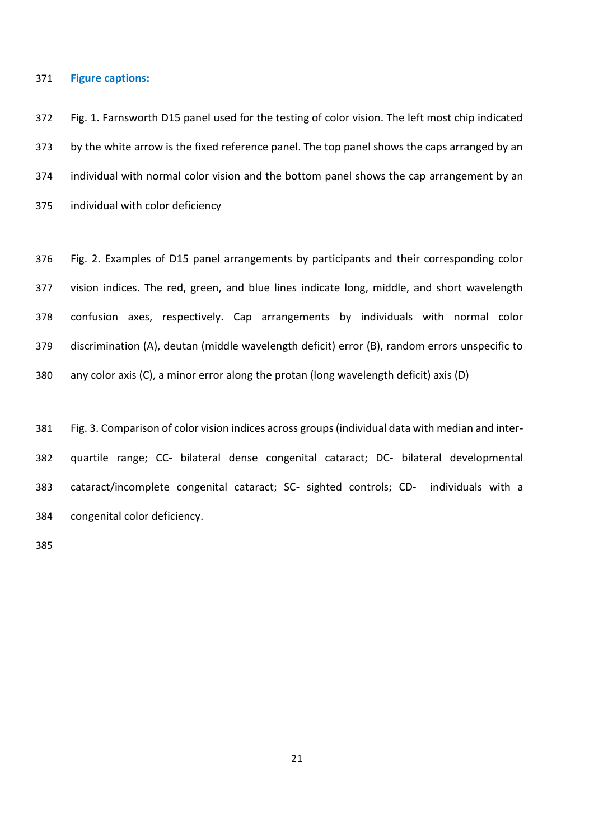#### **Figure captions:**

 Fig. 1. Farnsworth D15 panel used for the testing of color vision. The left most chip indicated 373 by the white arrow is the fixed reference panel. The top panel shows the caps arranged by an individual with normal color vision and the bottom panel shows the cap arrangement by an individual with color deficiency

 Fig. 2. Examples of D15 panel arrangements by participants and their corresponding color vision indices. The red, green, and blue lines indicate long, middle, and short wavelength confusion axes, respectively. Cap arrangements by individuals with normal color discrimination (A), deutan (middle wavelength deficit) error (B), random errors unspecific to any color axis (C), a minor error along the protan (long wavelength deficit) axis (D)

 Fig. 3. Comparison of color vision indices across groups (individual data with median and inter- quartile range; CC- bilateral dense congenital cataract; DC- bilateral developmental cataract/incomplete congenital cataract; SC- sighted controls; CD- individuals with a congenital color deficiency.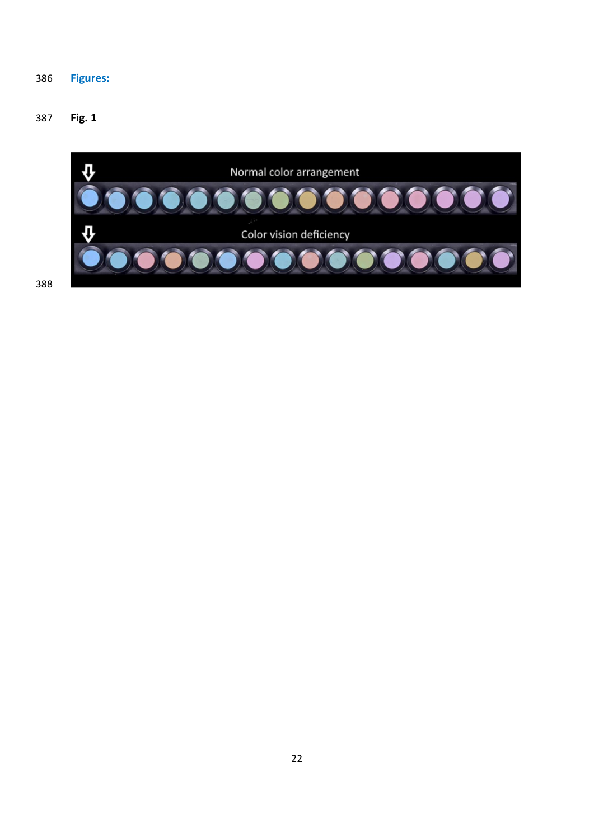# **Figures:**

# **Fig. 1**

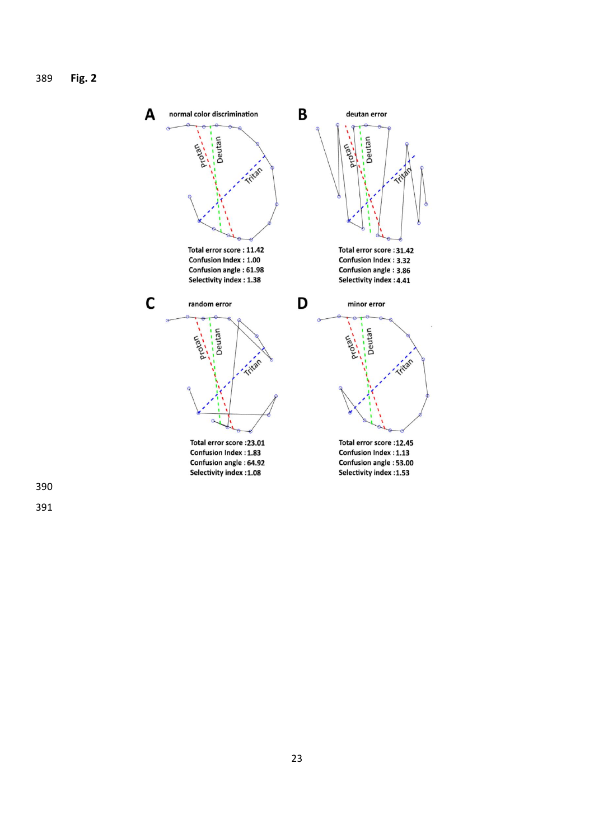